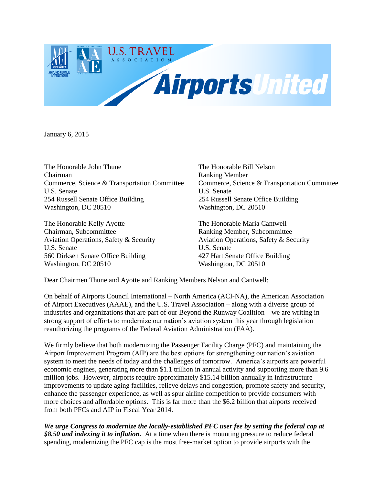

January 6, 2015

The Honorable John Thune The Honorable Bill Nelson Chairman Ranking Member U.S. Senate U.S. Senate 254 Russell Senate Office Building 254 Russell Senate Office Building Washington, DC 20510 Washington, DC 20510

The Honorable Kelly Ayotte The Honorable Maria Cantwell Chairman, Subcommittee Ranking Member, Subcommittee Aviation Operations, Safety & Security Aviation Operations, Safety & Security U.S. Senate U.S. Senate 560 Dirksen Senate Office Building 427 Hart Senate Office Building Washington, DC 20510 Washington, DC 20510

Commerce, Science & Transportation Committee Commerce, Science & Transportation Committee

Dear Chairmen Thune and Ayotte and Ranking Members Nelson and Cantwell:

On behalf of Airports Council International – North America (ACI-NA), the American Association of Airport Executives (AAAE), and the U.S. Travel Association – along with a diverse group of industries and organizations that are part of our Beyond the Runway Coalition – we are writing in strong support of efforts to modernize our nation's aviation system this year through legislation reauthorizing the programs of the Federal Aviation Administration (FAA).

We firmly believe that both modernizing the Passenger Facility Charge (PFC) and maintaining the Airport Improvement Program (AIP) are the best options for strengthening our nation's aviation system to meet the needs of today and the challenges of tomorrow. America's airports are powerful economic engines, generating more than \$1.1 trillion in annual activity and supporting more than 9.6 million jobs. However, airports require approximately \$15.14 billion annually in infrastructure improvements to update aging facilities, relieve delays and congestion, promote safety and security, enhance the passenger experience, as well as spur airline competition to provide consumers with more choices and affordable options. This is far more than the \$6.2 billion that airports received from both PFCs and AIP in Fiscal Year 2014.

*We urge Congress to modernize the locally-established PFC user fee by setting the federal cap at \$8.50 and indexing it to inflation.* At a time when there is mounting pressure to reduce federal spending, modernizing the PFC cap is the most free-market option to provide airports with the